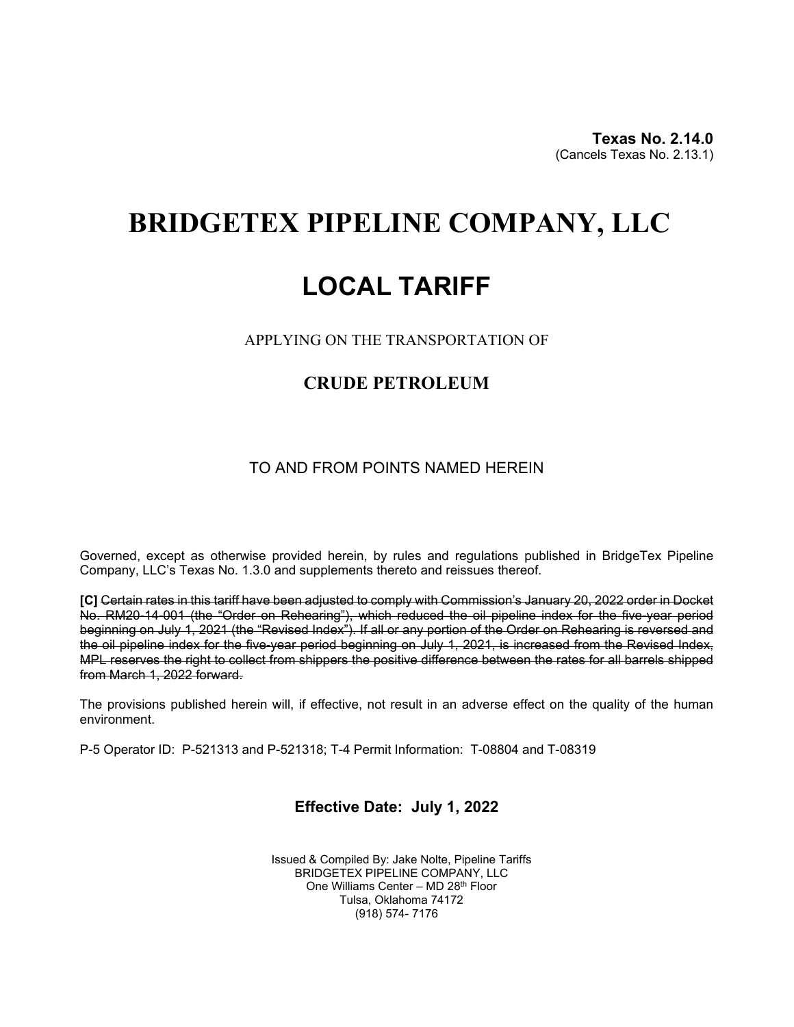**Texas No. 2.14.0**(Cancels Texas No. 2.13.1)

# **BRIDGETEX PIPELINE COMPANY, LLC**

# **LOCAL TARIFF**

APPLYING ON THE TRANSPORTATION OF

## **CRUDE PETROLEUM**

### TO AND FROM POINTS NAMED HEREIN

Governed, except as otherwise provided herein, by rules and regulations published in BridgeTex Pipeline Company, LLC's Texas No. 1.3.0 and supplements thereto and reissues thereof.

**[C]** Certain rates in this tariff have been adjusted to comply with Commission's January 20, 2022 order in Docket No. RM20-14-001 (the "Order on Rehearing"), which reduced the oil pipeline index for the five-year period beginning on July 1, 2021 (the "Revised Index"). If all or any portion of the Order on Rehearing is reversed and the oil pipeline index for the five-year period beginning on July 1, 2021, is increased from the Revised Index, MPL reserves the right to collect from shippers the positive difference between the rates for all barrels shipped from March 1, 2022 forward.

The provisions published herein will, if effective, not result in an adverse effect on the quality of the human environment.

P-5 Operator ID: P-521313 and P-521318; T-4 Permit Information: T-08804 and T-08319

### **Effective Date: July 1, 2022**

Issued & Compiled By: Jake Nolte, Pipeline Tariffs BRIDGETEX PIPELINE COMPANY, LLC One Williams Center – MD 28th Floor Tulsa, Oklahoma 74172 (918) 574- 7176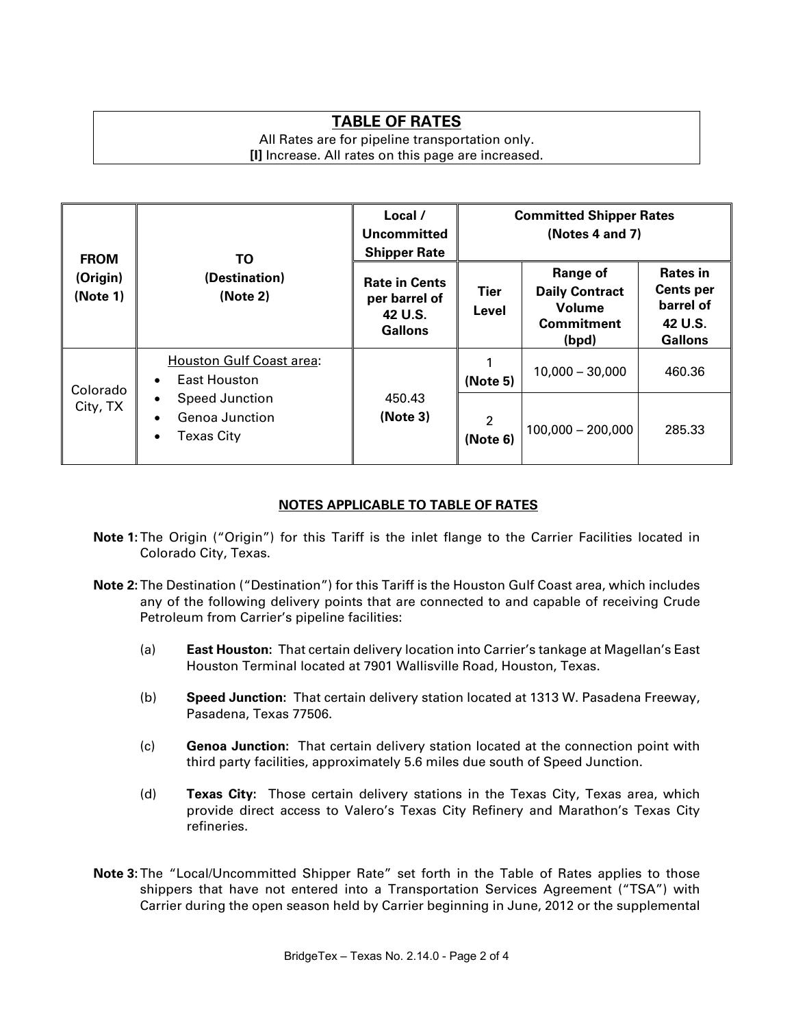## **TABLE OF RATES**

All Rates are for pipeline transportation only. **[I]** Increase. All rates on this page are increased.

| <b>FROM</b><br>(Origin)<br>(Note 1) | ΤO<br>(Destination)<br>(Note 2)                                                              | Local /<br>Uncommitted<br><b>Shipper Rate</b>                      | <b>Committed Shipper Rates</b><br>(Notes 4 and 7) |                                                                           |                                                                        |
|-------------------------------------|----------------------------------------------------------------------------------------------|--------------------------------------------------------------------|---------------------------------------------------|---------------------------------------------------------------------------|------------------------------------------------------------------------|
|                                     |                                                                                              | <b>Rate in Cents</b><br>per barrel of<br>42 U.S.<br><b>Gallons</b> | Tier<br>Level                                     | Range of<br><b>Daily Contract</b><br>Volume<br><b>Commitment</b><br>(bpd) | Rates in<br><b>Cents per</b><br>barrel of<br>42 U.S.<br><b>Gallons</b> |
| Colorado<br>City, TX                | <b>Houston Gulf Coast area:</b><br>East Houston<br>$\bullet$                                 | 450.43<br>(Note 3)                                                 | (Note 5)                                          | $10,000 - 30,000$                                                         | 460.36                                                                 |
|                                     | Speed Junction<br>$\bullet$<br>Genoa Junction<br>$\bullet$<br><b>Texas City</b><br>$\bullet$ |                                                                    | $\overline{2}$<br>(Note 6)                        | $100,000 - 200,000$                                                       | 285.33                                                                 |

#### **NOTES APPLICABLE TO TABLE OF RATES**

- **Note 1:**The Origin ("Origin") for this Tariff is the inlet flange to the Carrier Facilities located in Colorado City, Texas.
- **Note 2:**The Destination ("Destination") for this Tariff is the Houston Gulf Coast area, which includes any of the following delivery points that are connected to and capable of receiving Crude Petroleum from Carrier's pipeline facilities:
	- (a) **East Houston:** That certain delivery location into Carrier's tankage at Magellan's East Houston Terminal located at 7901 Wallisville Road, Houston, Texas.
	- (b) **Speed Junction:** That certain delivery station located at 1313 W. Pasadena Freeway, Pasadena, Texas 77506.
	- (c) **Genoa Junction:** That certain delivery station located at the connection point with third party facilities, approximately 5.6 miles due south of Speed Junction.
	- (d) **Texas City:** Those certain delivery stations in the Texas City, Texas area, which provide direct access to Valero's Texas City Refinery and Marathon's Texas City refineries.
- **Note 3:**The "Local/Uncommitted Shipper Rate" set forth in the Table of Rates applies to those shippers that have not entered into a Transportation Services Agreement ("TSA") with Carrier during the open season held by Carrier beginning in June, 2012 or the supplemental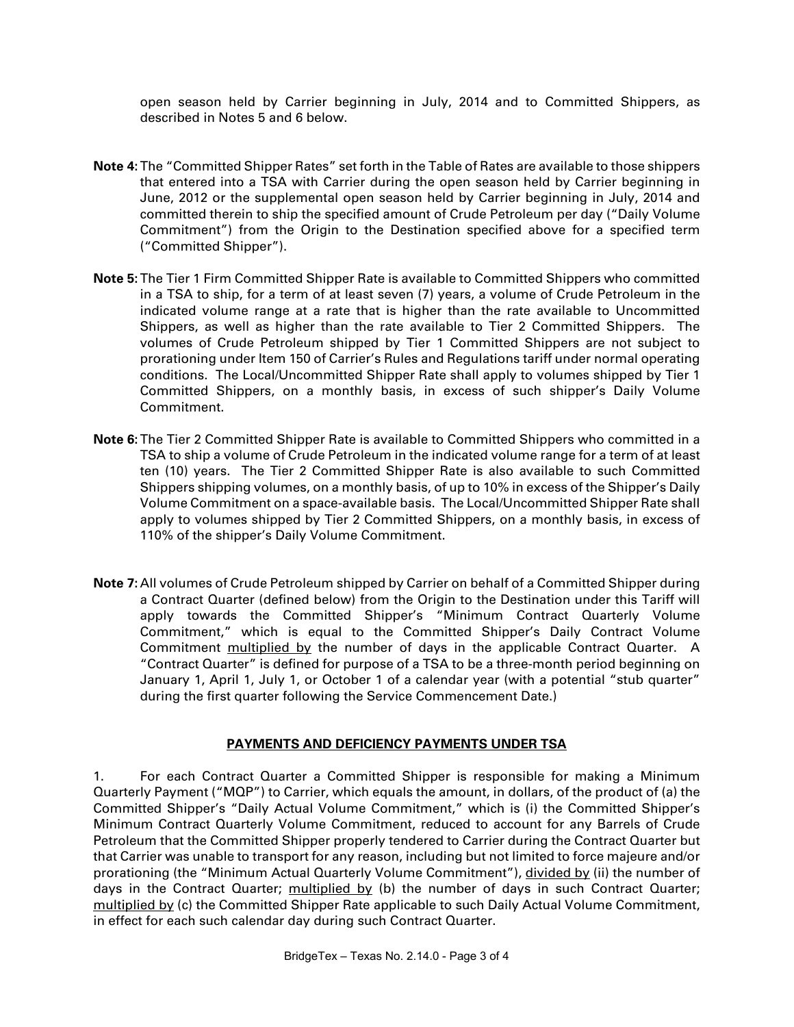open season held by Carrier beginning in July, 2014 and to Committed Shippers, as described in Notes 5 and 6 below.

- **Note 4:**The "Committed Shipper Rates" set forth in the Table of Rates are available to those shippers that entered into a TSA with Carrier during the open season held by Carrier beginning in June, 2012 or the supplemental open season held by Carrier beginning in July, 2014 and committed therein to ship the specified amount of Crude Petroleum per day ("Daily Volume Commitment") from the Origin to the Destination specified above for a specified term ("Committed Shipper").
- **Note 5:**The Tier 1 Firm Committed Shipper Rate is available to Committed Shippers who committed in a TSA to ship, for a term of at least seven (7) years, a volume of Crude Petroleum in the indicated volume range at a rate that is higher than the rate available to Uncommitted Shippers, as well as higher than the rate available to Tier 2 Committed Shippers. The volumes of Crude Petroleum shipped by Tier 1 Committed Shippers are not subject to prorationing under Item 150 of Carrier's Rules and Regulations tariff under normal operating conditions. The Local/Uncommitted Shipper Rate shall apply to volumes shipped by Tier 1 Committed Shippers, on a monthly basis, in excess of such shipper's Daily Volume Commitment.
- **Note 6:**The Tier 2 Committed Shipper Rate is available to Committed Shippers who committed in a TSA to ship a volume of Crude Petroleum in the indicated volume range for a term of at least ten (10) years. The Tier 2 Committed Shipper Rate is also available to such Committed Shippers shipping volumes, on a monthly basis, of up to 10% in excess of the Shipper's Daily Volume Commitment on a space-available basis. The Local/Uncommitted Shipper Rate shall apply to volumes shipped by Tier 2 Committed Shippers, on a monthly basis, in excess of 110% of the shipper's Daily Volume Commitment.
- **Note 7:** All volumes of Crude Petroleum shipped by Carrier on behalf of a Committed Shipper during a Contract Quarter (defined below) from the Origin to the Destination under this Tariff will apply towards the Committed Shipper's "Minimum Contract Quarterly Volume Commitment," which is equal to the Committed Shipper's Daily Contract Volume Commitment multiplied by the number of days in the applicable Contract Quarter. A "Contract Quarter" is defined for purpose of a TSA to be a three-month period beginning on January 1, April 1, July 1, or October 1 of a calendar year (with a potential "stub quarter" during the first quarter following the Service Commencement Date.)

#### **PAYMENTS AND DEFICIENCY PAYMENTS UNDER TSA**

1. For each Contract Quarter a Committed Shipper is responsible for making a Minimum Quarterly Payment ("MQP") to Carrier, which equals the amount, in dollars, of the product of (a) the Committed Shipper's "Daily Actual Volume Commitment," which is (i) the Committed Shipper's Minimum Contract Quarterly Volume Commitment, reduced to account for any Barrels of Crude Petroleum that the Committed Shipper properly tendered to Carrier during the Contract Quarter but that Carrier was unable to transport for any reason, including but not limited to force majeure and/or prorationing (the "Minimum Actual Quarterly Volume Commitment"), divided by (ii) the number of days in the Contract Quarter; multiplied by (b) the number of days in such Contract Quarter; multiplied by (c) the Committed Shipper Rate applicable to such Daily Actual Volume Commitment, in effect for each such calendar day during such Contract Quarter.